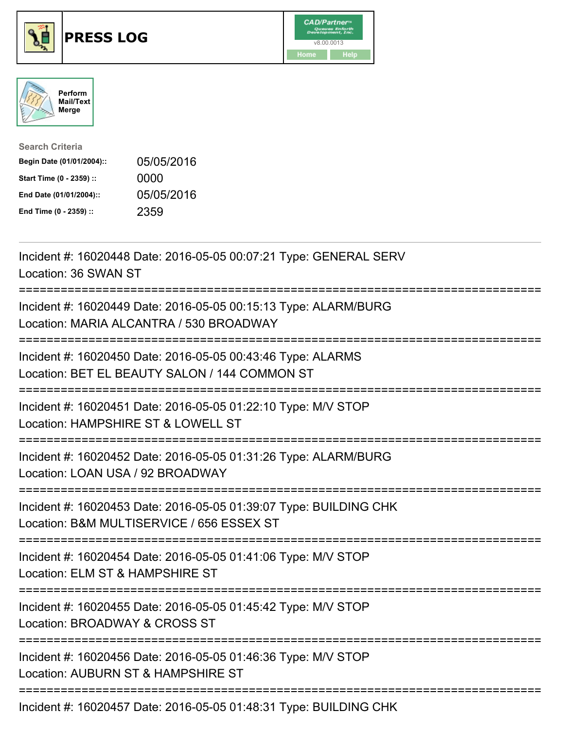





| <b>Search Criteria</b>    |            |
|---------------------------|------------|
| Begin Date (01/01/2004):: | 05/05/2016 |
| Start Time (0 - 2359) ::  | 0000       |
| End Date (01/01/2004)::   | 05/05/2016 |
| End Time (0 - 2359) ::    | 2359       |

| Incident #: 16020448 Date: 2016-05-05 00:07:21 Type: GENERAL SERV<br>Location: 36 SWAN ST                                        |
|----------------------------------------------------------------------------------------------------------------------------------|
| Incident #: 16020449 Date: 2016-05-05 00:15:13 Type: ALARM/BURG<br>Location: MARIA ALCANTRA / 530 BROADWAY                       |
| Incident #: 16020450 Date: 2016-05-05 00:43:46 Type: ALARMS<br>Location: BET EL BEAUTY SALON / 144 COMMON ST                     |
| Incident #: 16020451 Date: 2016-05-05 01:22:10 Type: M/V STOP<br>Location: HAMPSHIRE ST & LOWELL ST<br>:======================== |
| Incident #: 16020452 Date: 2016-05-05 01:31:26 Type: ALARM/BURG<br>Location: LOAN USA / 92 BROADWAY                              |
| Incident #: 16020453 Date: 2016-05-05 01:39:07 Type: BUILDING CHK<br>Location: B&M MULTISERVICE / 656 ESSEX ST                   |
| Incident #: 16020454 Date: 2016-05-05 01:41:06 Type: M/V STOP<br>Location: ELM ST & HAMPSHIRE ST                                 |
| Incident #: 16020455 Date: 2016-05-05 01:45:42 Type: M/V STOP<br>Location: BROADWAY & CROSS ST                                   |
| Incident #: 16020456 Date: 2016-05-05 01:46:36 Type: M/V STOP<br>Location: AUBURN ST & HAMPSHIRE ST                              |
|                                                                                                                                  |

Incident #: 16020457 Date: 2016-05-05 01:48:31 Type: BUILDING CHK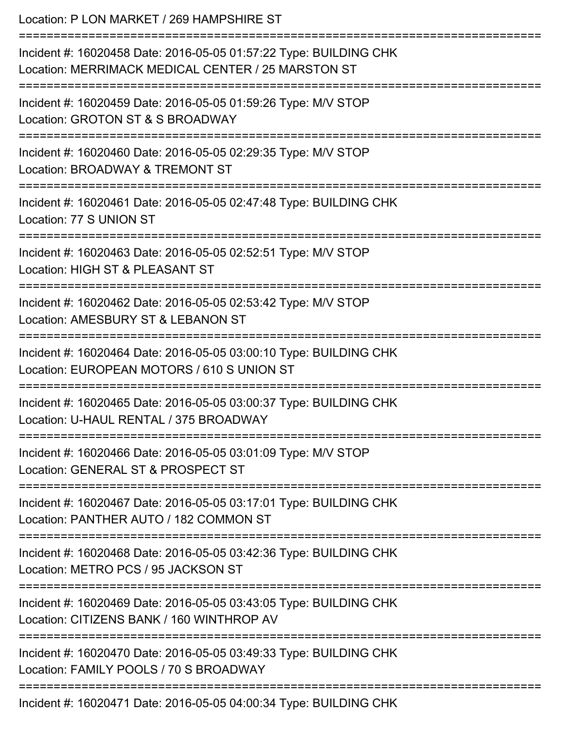Location: P LON MARKET / 269 HAMPSHIRE ST =========================================================================== Incident #: 16020458 Date: 2016-05-05 01:57:22 Type: BUILDING CHK Location: MERRIMACK MEDICAL CENTER / 25 MARSTON ST =========================================================================== Incident #: 16020459 Date: 2016-05-05 01:59:26 Type: M/V STOP Location: GROTON ST & S BROADWAY =========================================================================== Incident #: 16020460 Date: 2016-05-05 02:29:35 Type: M/V STOP Location: BROADWAY & TREMONT ST =========================================================================== Incident #: 16020461 Date: 2016-05-05 02:47:48 Type: BUILDING CHK Location: 77 S UNION ST =========================================================================== Incident #: 16020463 Date: 2016-05-05 02:52:51 Type: M/V STOP Location: HIGH ST & PLEASANT ST =========================================================================== Incident #: 16020462 Date: 2016-05-05 02:53:42 Type: M/V STOP Location: AMESBURY ST & LEBANON ST =========================================================================== Incident #: 16020464 Date: 2016-05-05 03:00:10 Type: BUILDING CHK Location: EUROPEAN MOTORS / 610 S UNION ST =========================================================================== Incident #: 16020465 Date: 2016-05-05 03:00:37 Type: BUILDING CHK Location: U-HAUL RENTAL / 375 BROADWAY =========================================================================== Incident #: 16020466 Date: 2016-05-05 03:01:09 Type: M/V STOP Location: GENERAL ST & PROSPECT ST =========================================================================== Incident #: 16020467 Date: 2016-05-05 03:17:01 Type: BUILDING CHK Location: PANTHER AUTO / 182 COMMON ST =========================================================================== Incident #: 16020468 Date: 2016-05-05 03:42:36 Type: BUILDING CHK Location: METRO PCS / 95 JACKSON ST =========================================================================== Incident #: 16020469 Date: 2016-05-05 03:43:05 Type: BUILDING CHK Location: CITIZENS BANK / 160 WINTHROP AV =========================================================================== Incident #: 16020470 Date: 2016-05-05 03:49:33 Type: BUILDING CHK Location: FAMILY POOLS / 70 S BROADWAY ===========================================================================

Incident #: 16020471 Date: 2016-05-05 04:00:34 Type: BUILDING CHK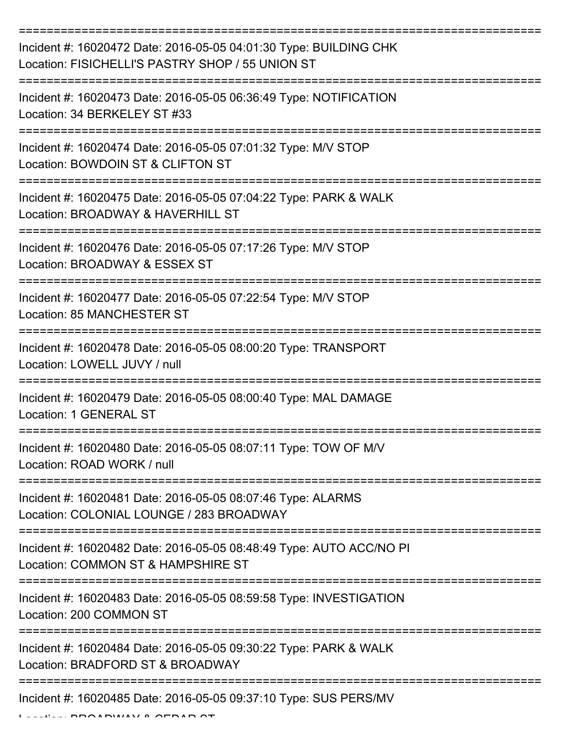| Incident #: 16020472 Date: 2016-05-05 04:01:30 Type: BUILDING CHK<br>Location: FISICHELLI'S PASTRY SHOP / 55 UNION ST |
|-----------------------------------------------------------------------------------------------------------------------|
| Incident #: 16020473 Date: 2016-05-05 06:36:49 Type: NOTIFICATION<br>Location: 34 BERKELEY ST #33                     |
| Incident #: 16020474 Date: 2016-05-05 07:01:32 Type: M/V STOP<br>Location: BOWDOIN ST & CLIFTON ST                    |
| Incident #: 16020475 Date: 2016-05-05 07:04:22 Type: PARK & WALK<br>Location: BROADWAY & HAVERHILL ST                 |
| Incident #: 16020476 Date: 2016-05-05 07:17:26 Type: M/V STOP<br>Location: BROADWAY & ESSEX ST                        |
| Incident #: 16020477 Date: 2016-05-05 07:22:54 Type: M/V STOP<br><b>Location: 85 MANCHESTER ST</b>                    |
| Incident #: 16020478 Date: 2016-05-05 08:00:20 Type: TRANSPORT<br>Location: LOWELL JUVY / null                        |
| Incident #: 16020479 Date: 2016-05-05 08:00:40 Type: MAL DAMAGE<br><b>Location: 1 GENERAL ST</b>                      |
| Incident #: 16020480 Date: 2016-05-05 08:07:11 Type: TOW OF M/V<br>Location: ROAD WORK / null                         |
| Incident #: 16020481 Date: 2016-05-05 08:07:46 Type: ALARMS<br>Location: COLONIAL LOUNGE / 283 BROADWAY               |
| Incident #: 16020482 Date: 2016-05-05 08:48:49 Type: AUTO ACC/NO PI<br>Location: COMMON ST & HAMPSHIRE ST             |
| Incident #: 16020483 Date: 2016-05-05 08:59:58 Type: INVESTIGATION<br>Location: 200 COMMON ST                         |
| Incident #: 16020484 Date: 2016-05-05 09:30:22 Type: PARK & WALK<br>Location: BRADFORD ST & BROADWAY                  |
| Incident #: 16020485 Date: 2016-05-05 09:37:10 Type: SUS PERS/MV                                                      |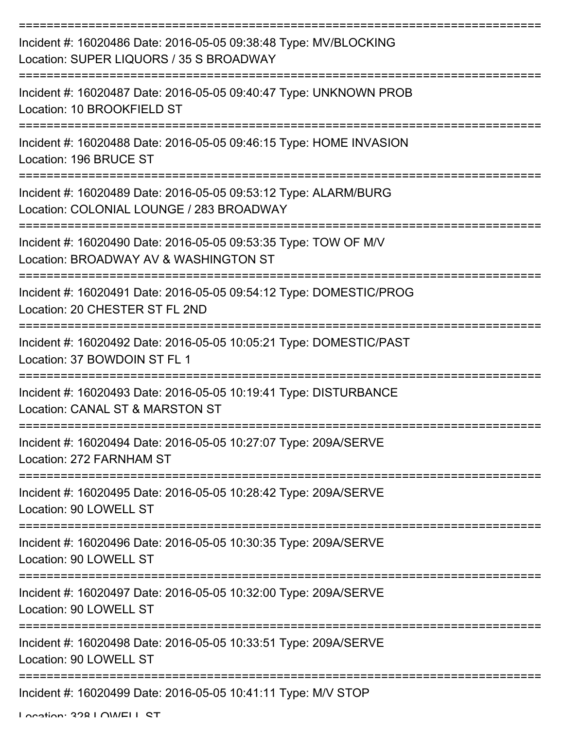| Incident #: 16020486 Date: 2016-05-05 09:38:48 Type: MV/BLOCKING<br>Location: SUPER LIQUORS / 35 S BROADWAY |
|-------------------------------------------------------------------------------------------------------------|
| Incident #: 16020487 Date: 2016-05-05 09:40:47 Type: UNKNOWN PROB<br>Location: 10 BROOKFIELD ST             |
| Incident #: 16020488 Date: 2016-05-05 09:46:15 Type: HOME INVASION<br>Location: 196 BRUCE ST                |
| Incident #: 16020489 Date: 2016-05-05 09:53:12 Type: ALARM/BURG<br>Location: COLONIAL LOUNGE / 283 BROADWAY |
| Incident #: 16020490 Date: 2016-05-05 09:53:35 Type: TOW OF M/V<br>Location: BROADWAY AV & WASHINGTON ST    |
| Incident #: 16020491 Date: 2016-05-05 09:54:12 Type: DOMESTIC/PROG<br>Location: 20 CHESTER ST FL 2ND        |
| Incident #: 16020492 Date: 2016-05-05 10:05:21 Type: DOMESTIC/PAST<br>Location: 37 BOWDOIN ST FL 1          |
| Incident #: 16020493 Date: 2016-05-05 10:19:41 Type: DISTURBANCE<br>Location: CANAL ST & MARSTON ST         |
| Incident #: 16020494 Date: 2016-05-05 10:27:07 Type: 209A/SERVE<br>Location: 272 FARNHAM ST                 |
| Incident #: 16020495 Date: 2016-05-05 10:28:42 Type: 209A/SERVE<br>Location: 90 LOWELL ST                   |
| Incident #: 16020496 Date: 2016-05-05 10:30:35 Type: 209A/SERVE<br>Location: 90 LOWELL ST                   |
| Incident #: 16020497 Date: 2016-05-05 10:32:00 Type: 209A/SERVE<br>Location: 90 LOWELL ST                   |
| Incident #: 16020498 Date: 2016-05-05 10:33:51 Type: 209A/SERVE<br>Location: 90 LOWELL ST                   |
| Incident #: 16020499 Date: 2016-05-05 10:41:11 Type: M/V STOP                                               |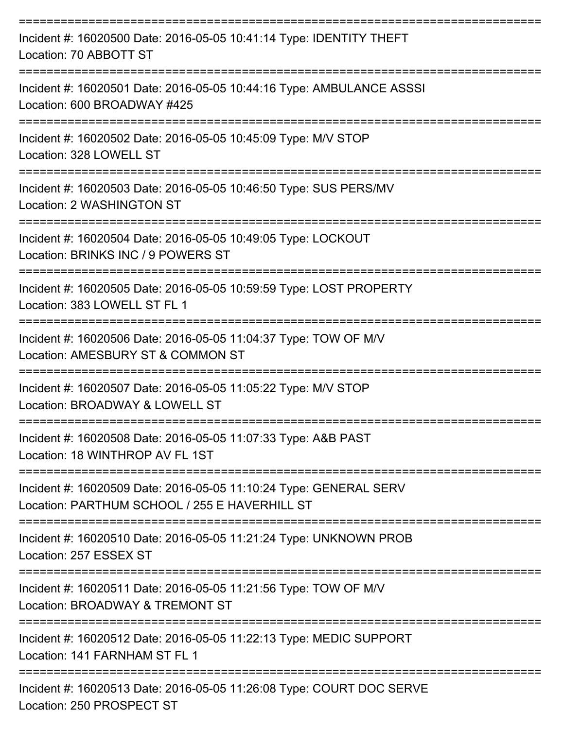| Incident #: 16020500 Date: 2016-05-05 10:41:14 Type: IDENTITY THEFT<br>Location: 70 ABBOTT ST                         |
|-----------------------------------------------------------------------------------------------------------------------|
| Incident #: 16020501 Date: 2016-05-05 10:44:16 Type: AMBULANCE ASSSI<br>Location: 600 BROADWAY #425                   |
| Incident #: 16020502 Date: 2016-05-05 10:45:09 Type: M/V STOP<br>Location: 328 LOWELL ST                              |
| Incident #: 16020503 Date: 2016-05-05 10:46:50 Type: SUS PERS/MV<br><b>Location: 2 WASHINGTON ST</b>                  |
| Incident #: 16020504 Date: 2016-05-05 10:49:05 Type: LOCKOUT<br>Location: BRINKS INC / 9 POWERS ST                    |
| Incident #: 16020505 Date: 2016-05-05 10:59:59 Type: LOST PROPERTY<br>Location: 383 LOWELL ST FL 1                    |
| Incident #: 16020506 Date: 2016-05-05 11:04:37 Type: TOW OF M/V<br>Location: AMESBURY ST & COMMON ST                  |
| Incident #: 16020507 Date: 2016-05-05 11:05:22 Type: M/V STOP<br>Location: BROADWAY & LOWELL ST                       |
| ;================<br>Incident #: 16020508 Date: 2016-05-05 11:07:33 Type: A&B PAST<br>Location: 18 WINTHROP AV FL 1ST |
| Incident #: 16020509 Date: 2016-05-05 11:10:24 Type: GENERAL SERV<br>Location: PARTHUM SCHOOL / 255 E HAVERHILL ST    |
| Incident #: 16020510 Date: 2016-05-05 11:21:24 Type: UNKNOWN PROB<br>Location: 257 ESSEX ST                           |
| Incident #: 16020511 Date: 2016-05-05 11:21:56 Type: TOW OF M/V<br>Location: BROADWAY & TREMONT ST                    |
| Incident #: 16020512 Date: 2016-05-05 11:22:13 Type: MEDIC SUPPORT<br>Location: 141 FARNHAM ST FL 1                   |
| Incident #: 16020513 Date: 2016-05-05 11:26:08 Type: COURT DOC SERVE                                                  |

Location: 250 PROSPECT ST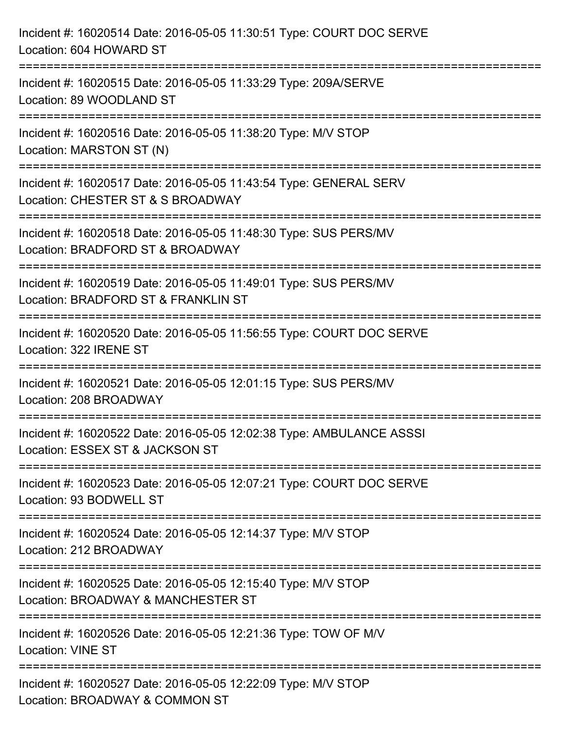| Incident #: 16020514 Date: 2016-05-05 11:30:51 Type: COURT DOC SERVE<br>Location: 604 HOWARD ST                                                                              |
|------------------------------------------------------------------------------------------------------------------------------------------------------------------------------|
| :=================================<br>Incident #: 16020515 Date: 2016-05-05 11:33:29 Type: 209A/SERVE<br>Location: 89 WOODLAND ST                                            |
| Incident #: 16020516 Date: 2016-05-05 11:38:20 Type: M/V STOP<br>Location: MARSTON ST (N)                                                                                    |
| =================================<br>Incident #: 16020517 Date: 2016-05-05 11:43:54 Type: GENERAL SERV<br>Location: CHESTER ST & S BROADWAY<br>:============================ |
| Incident #: 16020518 Date: 2016-05-05 11:48:30 Type: SUS PERS/MV<br>Location: BRADFORD ST & BROADWAY                                                                         |
| Incident #: 16020519 Date: 2016-05-05 11:49:01 Type: SUS PERS/MV<br>Location: BRADFORD ST & FRANKLIN ST                                                                      |
| Incident #: 16020520 Date: 2016-05-05 11:56:55 Type: COURT DOC SERVE<br>Location: 322 IRENE ST                                                                               |
| Incident #: 16020521 Date: 2016-05-05 12:01:15 Type: SUS PERS/MV<br>Location: 208 BROADWAY                                                                                   |
| Incident #: 16020522 Date: 2016-05-05 12:02:38 Type: AMBULANCE ASSSI<br>Location: ESSEX ST & JACKSON ST                                                                      |
| Incident #: 16020523 Date: 2016-05-05 12:07:21 Type: COURT DOC SERVE<br>Location: 93 BODWELL ST                                                                              |
| Incident #: 16020524 Date: 2016-05-05 12:14:37 Type: M/V STOP<br>Location: 212 BROADWAY                                                                                      |
| Incident #: 16020525 Date: 2016-05-05 12:15:40 Type: M/V STOP<br>Location: BROADWAY & MANCHESTER ST                                                                          |
| Incident #: 16020526 Date: 2016-05-05 12:21:36 Type: TOW OF M/V<br><b>Location: VINE ST</b>                                                                                  |
| Incident #: 16020527 Date: 2016-05-05 12:22:09 Type: M/V STOP<br>Location: BROADWAY & COMMON ST                                                                              |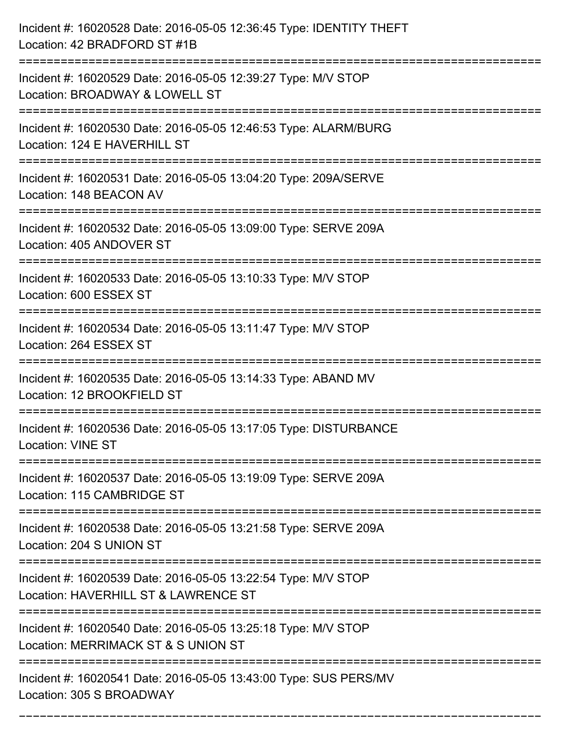| Incident #: 16020528 Date: 2016-05-05 12:36:45 Type: IDENTITY THEFT<br>Location: 42 BRADFORD ST #1B                        |
|----------------------------------------------------------------------------------------------------------------------------|
| Incident #: 16020529 Date: 2016-05-05 12:39:27 Type: M/V STOP<br>Location: BROADWAY & LOWELL ST                            |
| Incident #: 16020530 Date: 2016-05-05 12:46:53 Type: ALARM/BURG<br>Location: 124 E HAVERHILL ST<br>:====================   |
| Incident #: 16020531 Date: 2016-05-05 13:04:20 Type: 209A/SERVE<br>Location: 148 BEACON AV                                 |
| Incident #: 16020532 Date: 2016-05-05 13:09:00 Type: SERVE 209A<br>Location: 405 ANDOVER ST<br>.-------------------------- |
| Incident #: 16020533 Date: 2016-05-05 13:10:33 Type: M/V STOP<br>Location: 600 ESSEX ST                                    |
| Incident #: 16020534 Date: 2016-05-05 13:11:47 Type: M/V STOP<br>Location: 264 ESSEX ST                                    |
| Incident #: 16020535 Date: 2016-05-05 13:14:33 Type: ABAND MV<br>Location: 12 BROOKFIELD ST                                |
| Incident #: 16020536 Date: 2016-05-05 13:17:05 Type: DISTURBANCE<br><b>Location: VINE ST</b>                               |
| Incident #: 16020537 Date: 2016-05-05 13:19:09 Type: SERVE 209A<br>Location: 115 CAMBRIDGE ST                              |
| Incident #: 16020538 Date: 2016-05-05 13:21:58 Type: SERVE 209A<br>Location: 204 S UNION ST                                |
| Incident #: 16020539 Date: 2016-05-05 13:22:54 Type: M/V STOP<br>Location: HAVERHILL ST & LAWRENCE ST                      |
| Incident #: 16020540 Date: 2016-05-05 13:25:18 Type: M/V STOP<br>Location: MERRIMACK ST & S UNION ST                       |
| Incident #: 16020541 Date: 2016-05-05 13:43:00 Type: SUS PERS/MV<br>Location: 305 S BROADWAY                               |

===========================================================================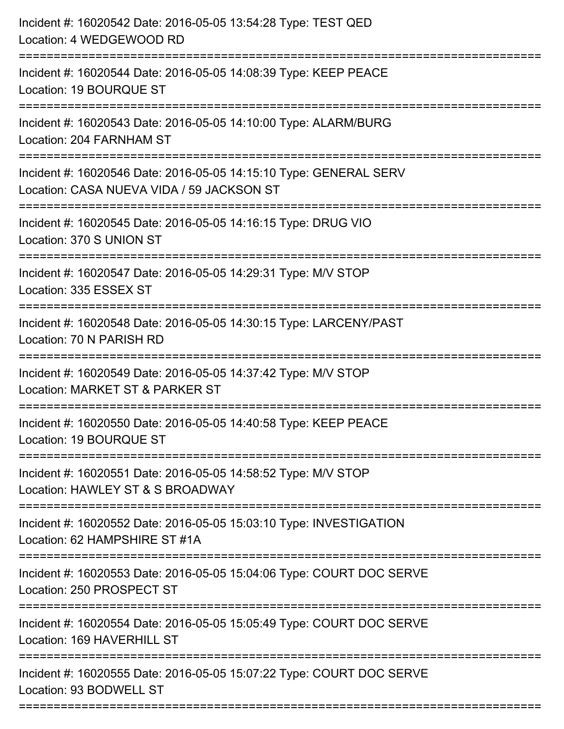| Incident #: 16020542 Date: 2016-05-05 13:54:28 Type: TEST QED<br>Location: 4 WEDGEWOOD RD                                          |
|------------------------------------------------------------------------------------------------------------------------------------|
| Incident #: 16020544 Date: 2016-05-05 14:08:39 Type: KEEP PEACE<br>Location: 19 BOURQUE ST                                         |
| Incident #: 16020543 Date: 2016-05-05 14:10:00 Type: ALARM/BURG<br>Location: 204 FARNHAM ST                                        |
| Incident #: 16020546 Date: 2016-05-05 14:15:10 Type: GENERAL SERV<br>Location: CASA NUEVA VIDA / 59 JACKSON ST                     |
| Incident #: 16020545 Date: 2016-05-05 14:16:15 Type: DRUG VIO<br>Location: 370 S UNION ST                                          |
| Incident #: 16020547 Date: 2016-05-05 14:29:31 Type: M/V STOP<br>Location: 335 ESSEX ST                                            |
| Incident #: 16020548 Date: 2016-05-05 14:30:15 Type: LARCENY/PAST<br>Location: 70 N PARISH RD                                      |
| Incident #: 16020549 Date: 2016-05-05 14:37:42 Type: M/V STOP<br>Location: MARKET ST & PARKER ST                                   |
| Incident #: 16020550 Date: 2016-05-05 14:40:58 Type: KEEP PEACE<br>Location: 19 BOURQUE ST                                         |
| Incident #: 16020551 Date: 2016-05-05 14:58:52 Type: M/V STOP<br>Location: HAWLEY ST & S BROADWAY                                  |
| ===========================<br>Incident #: 16020552 Date: 2016-05-05 15:03:10 Type: INVESTIGATION<br>Location: 62 HAMPSHIRE ST #1A |
| Incident #: 16020553 Date: 2016-05-05 15:04:06 Type: COURT DOC SERVE<br>Location: 250 PROSPECT ST                                  |
| Incident #: 16020554 Date: 2016-05-05 15:05:49 Type: COURT DOC SERVE<br>Location: 169 HAVERHILL ST                                 |
| Incident #: 16020555 Date: 2016-05-05 15:07:22 Type: COURT DOC SERVE<br>Location: 93 BODWELL ST                                    |
|                                                                                                                                    |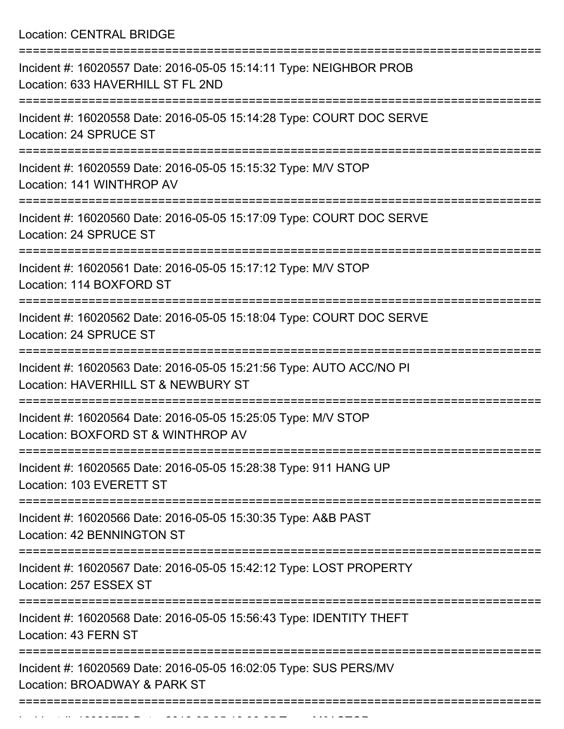Location: CENTRAL BRIDGE

| Incident #: 16020557 Date: 2016-05-05 15:14:11 Type: NEIGHBOR PROB<br>Location: 633 HAVERHILL ST FL 2ND    |
|------------------------------------------------------------------------------------------------------------|
| Incident #: 16020558 Date: 2016-05-05 15:14:28 Type: COURT DOC SERVE<br>Location: 24 SPRUCE ST             |
| Incident #: 16020559 Date: 2016-05-05 15:15:32 Type: M/V STOP<br>Location: 141 WINTHROP AV                 |
| Incident #: 16020560 Date: 2016-05-05 15:17:09 Type: COURT DOC SERVE<br>Location: 24 SPRUCE ST             |
| Incident #: 16020561 Date: 2016-05-05 15:17:12 Type: M/V STOP<br>Location: 114 BOXFORD ST                  |
| Incident #: 16020562 Date: 2016-05-05 15:18:04 Type: COURT DOC SERVE<br>Location: 24 SPRUCE ST             |
| Incident #: 16020563 Date: 2016-05-05 15:21:56 Type: AUTO ACC/NO PI<br>Location: HAVERHILL ST & NEWBURY ST |
| Incident #: 16020564 Date: 2016-05-05 15:25:05 Type: M/V STOP<br>Location: BOXFORD ST & WINTHROP AV        |
| Incident #: 16020565 Date: 2016-05-05 15:28:38 Type: 911 HANG UP<br>Location: 103 EVERETT ST               |
| Incident #: 16020566 Date: 2016-05-05 15:30:35 Type: A&B PAST<br>Location: 42 BENNINGTON ST                |
| Incident #: 16020567 Date: 2016-05-05 15:42:12 Type: LOST PROPERTY<br>Location: 257 ESSEX ST               |
| Incident #: 16020568 Date: 2016-05-05 15:56:43 Type: IDENTITY THEFT<br>Location: 43 FERN ST                |
| Incident #: 16020569 Date: 2016-05-05 16:02:05 Type: SUS PERS/MV<br>Location: BROADWAY & PARK ST           |
|                                                                                                            |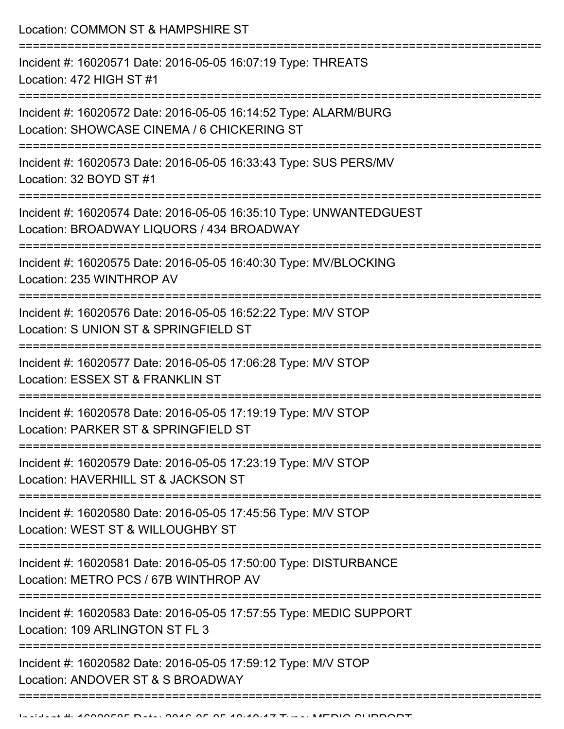Location: COMMON ST & HAMPSHIRE ST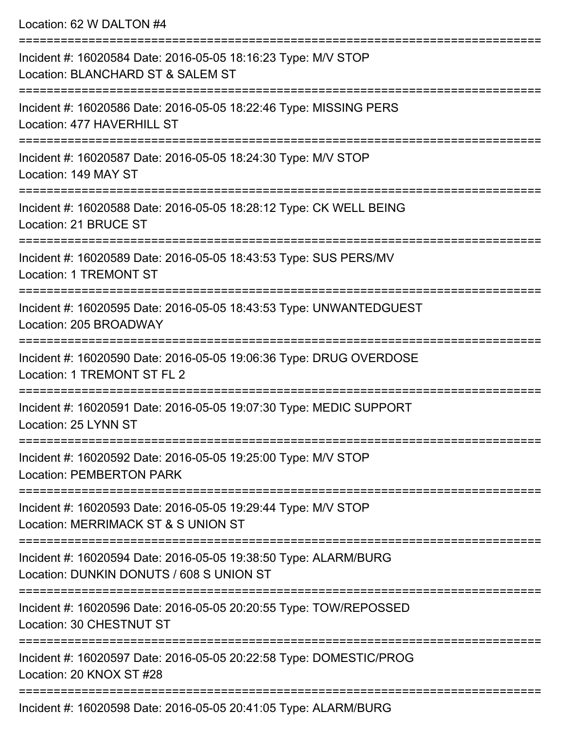Location: 62 W DALTON #4

| Incident #: 16020584 Date: 2016-05-05 18:16:23 Type: M/V STOP<br>Location: BLANCHARD ST & SALEM ST          |
|-------------------------------------------------------------------------------------------------------------|
| Incident #: 16020586 Date: 2016-05-05 18:22:46 Type: MISSING PERS<br>Location: 477 HAVERHILL ST             |
| Incident #: 16020587 Date: 2016-05-05 18:24:30 Type: M/V STOP<br>Location: 149 MAY ST                       |
| Incident #: 16020588 Date: 2016-05-05 18:28:12 Type: CK WELL BEING<br>Location: 21 BRUCE ST                 |
| Incident #: 16020589 Date: 2016-05-05 18:43:53 Type: SUS PERS/MV<br><b>Location: 1 TREMONT ST</b>           |
| Incident #: 16020595 Date: 2016-05-05 18:43:53 Type: UNWANTEDGUEST<br>Location: 205 BROADWAY                |
| Incident #: 16020590 Date: 2016-05-05 19:06:36 Type: DRUG OVERDOSE<br>Location: 1 TREMONT ST FL 2           |
| Incident #: 16020591 Date: 2016-05-05 19:07:30 Type: MEDIC SUPPORT<br>Location: 25 LYNN ST                  |
| Incident #: 16020592 Date: 2016-05-05 19:25:00 Type: M/V STOP<br><b>Location: PEMBERTON PARK</b>            |
| Incident #: 16020593 Date: 2016-05-05 19:29:44 Type: M/V STOP<br>Location: MERRIMACK ST & S UNION ST        |
| Incident #: 16020594 Date: 2016-05-05 19:38:50 Type: ALARM/BURG<br>Location: DUNKIN DONUTS / 608 S UNION ST |
| Incident #: 16020596 Date: 2016-05-05 20:20:55 Type: TOW/REPOSSED<br>Location: 30 CHESTNUT ST               |
| Incident #: 16020597 Date: 2016-05-05 20:22:58 Type: DOMESTIC/PROG<br>Location: 20 KNOX ST #28              |
|                                                                                                             |

Incident #: 16020598 Date: 2016-05-05 20:41:05 Type: ALARM/BURG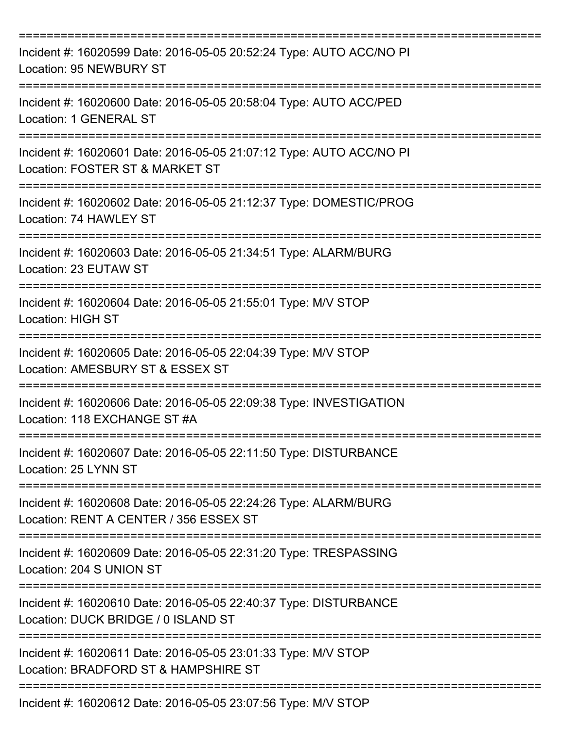| Incident #: 16020599 Date: 2016-05-05 20:52:24 Type: AUTO ACC/NO PI<br>Location: 95 NEWBURY ST                |
|---------------------------------------------------------------------------------------------------------------|
| Incident #: 16020600 Date: 2016-05-05 20:58:04 Type: AUTO ACC/PED<br>Location: 1 GENERAL ST                   |
| Incident #: 16020601 Date: 2016-05-05 21:07:12 Type: AUTO ACC/NO PI<br>Location: FOSTER ST & MARKET ST        |
| Incident #: 16020602 Date: 2016-05-05 21:12:37 Type: DOMESTIC/PROG<br>Location: 74 HAWLEY ST                  |
| Incident #: 16020603 Date: 2016-05-05 21:34:51 Type: ALARM/BURG<br>Location: 23 EUTAW ST                      |
| Incident #: 16020604 Date: 2016-05-05 21:55:01 Type: M/V STOP<br><b>Location: HIGH ST</b>                     |
| Incident #: 16020605 Date: 2016-05-05 22:04:39 Type: M/V STOP<br>Location: AMESBURY ST & ESSEX ST             |
| Incident #: 16020606 Date: 2016-05-05 22:09:38 Type: INVESTIGATION<br>Location: 118 FXCHANGF ST #A            |
| Incident #: 16020607 Date: 2016-05-05 22:11:50 Type: DISTURBANCE<br>Location: 25 LYNN ST<br>----------------- |
| Incident #: 16020608 Date: 2016-05-05 22:24:26 Type: ALARM/BURG<br>Location: RENT A CENTER / 356 ESSEX ST     |
| Incident #: 16020609 Date: 2016-05-05 22:31:20 Type: TRESPASSING<br>Location: 204 S UNION ST                  |
| Incident #: 16020610 Date: 2016-05-05 22:40:37 Type: DISTURBANCE<br>Location: DUCK BRIDGE / 0 ISLAND ST       |
| Incident #: 16020611 Date: 2016-05-05 23:01:33 Type: M/V STOP<br>Location: BRADFORD ST & HAMPSHIRE ST         |
| Incident #: 16020612 Date: 2016-05-05 23:07:56 Type: M/V STOP                                                 |